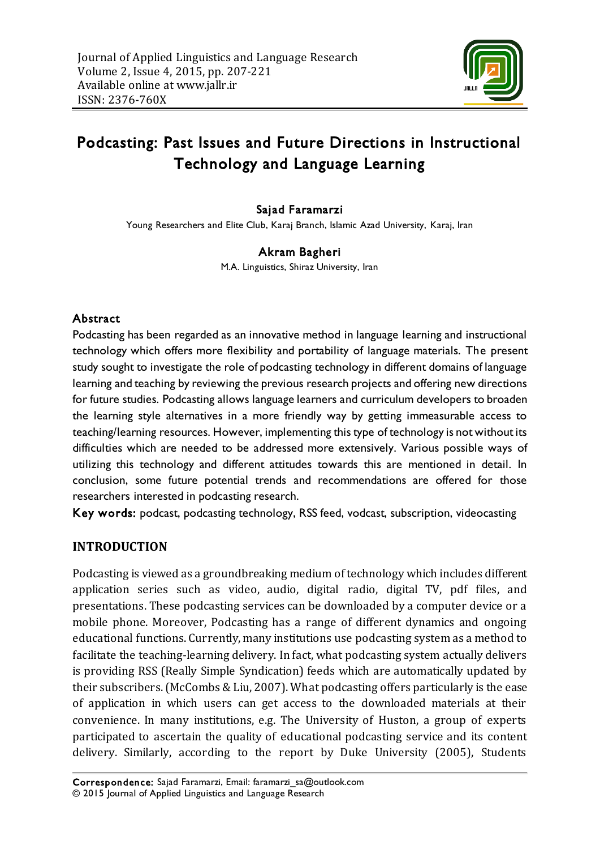

# Podcasting: Past Issues and Future Directions in Instructional Technology and Language Learning

## Sajad Faramarzi

Young Researchers and Elite Club, Karaj Branch, Islamic Azad University, Karaj, Iran

#### Akram Bagheri

M.A. Linguistics, Shiraz University, Iran

#### Abstract

Podcasting has been regarded as an innovative method in language learning and instructional technology which offers more flexibility and portability of language materials. The present study sought to investigate the role of podcasting technology in different domains of language learning and teaching by reviewing the previous research projects and offering new directions for future studies. Podcasting allows language learners and curriculum developers to broaden the learning style alternatives in a more friendly way by getting immeasurable access to teaching/learning resources. However, implementing this type of technology is not without its difficulties which are needed to be addressed more extensively. Various possible ways of utilizing this technology and different attitudes towards this are mentioned in detail. In conclusion, some future potential trends and recommendations are offered for those researchers interested in podcasting research.

Key words: podcast, podcasting technology, RSS feed, vodcast, subscription, videocasting

#### **INTRODUCTION**

Podcasting is viewed as a groundbreaking medium of technology which includes different application series such as video, audio, digital radio, digital TV, pdf files, and presentations. These podcasting services can be downloaded by a computer device or a mobile phone. Moreover, Podcasting has a range of different dynamics and ongoing educational functions. Currently, many institutions use podcasting system as a method to facilitate the teaching-learning delivery. In fact, what podcasting system actually delivers is providing RSS (Really Simple Syndication) feeds which are automatically updated by their subscribers. (McCombs & Liu, 2007). What podcasting offers particularly is the ease of application in which users can get access to the downloaded materials at their convenience. In many institutions, e.g. The University of Huston, a group of experts participated to ascertain the quality of educational podcasting service and its content delivery. Similarly, according to the report by Duke University (2005), Students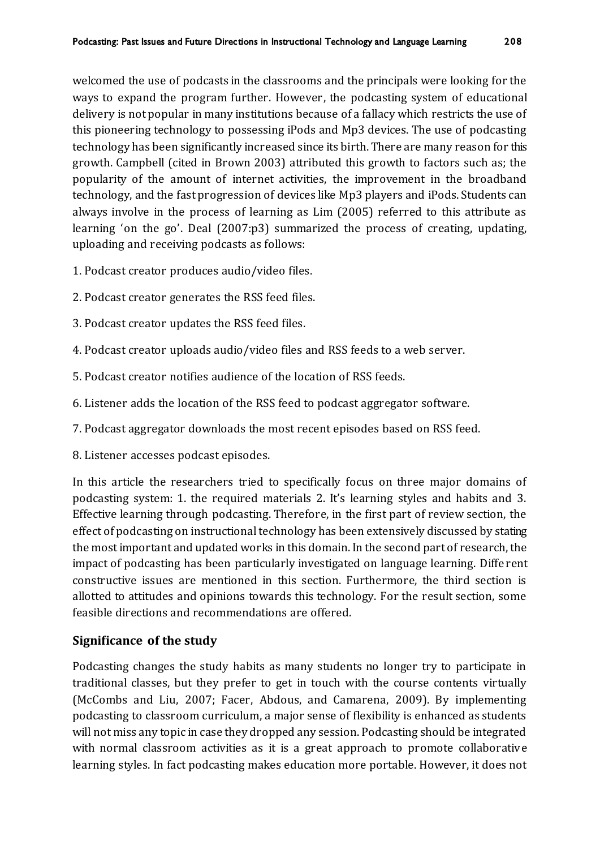welcomed the use of podcasts in the classrooms and the principals were looking for the ways to expand the program further. However, the podcasting system of educational delivery is not popular in many institutions because of a fallacy which restricts the use of this pioneering technology to possessing iPods and Mp3 devices. The use of podcasting technology has been significantly increased since its birth. There are many reason for this growth. Campbell (cited in Brown 2003) attributed this growth to factors such as; the popularity of the amount of internet activities, the improvement in the broadband technology, and the fast progression of devices like Mp3 players and iPods. Students can always involve in the process of learning as Lim (2005) referred to this attribute as learning 'on the go'. Deal (2007:p3) summarized the process of creating, updating, uploading and receiving podcasts as follows:

- 1. Podcast creator produces audio/video files.
- 2. Podcast creator generates the RSS feed files.
- 3. Podcast creator updates the RSS feed files.
- 4. Podcast creator uploads audio/video files and RSS feeds to a web server.
- 5. Podcast creator notifies audience of the location of RSS feeds.
- 6. Listener adds the location of the RSS feed to podcast aggregator software.
- 7. Podcast aggregator downloads the most recent episodes based on RSS feed.
- 8. Listener accesses podcast episodes.

In this article the researchers tried to specifically focus on three major domains of podcasting system: 1. the required materials 2. It's learning styles and habits and 3. Effective learning through podcasting. Therefore, in the first part of review section, the effect of podcasting on instructional technology has been extensively discussed by stating the most important and updated works in this domain. In the second part of research, the impact of podcasting has been particularly investigated on language learning. Diffe rent constructive issues are mentioned in this section. Furthermore, the third section is allotted to attitudes and opinions towards this technology. For the result section, some feasible directions and recommendations are offered.

## **Significance of the study**

Podcasting changes the study habits as many students no longer try to participate in traditional classes, but they prefer to get in touch with the course contents virtually (McCombs and Liu, 2007; Facer, Abdous, and Camarena, 2009). By implementing podcasting to classroom curriculum, a major sense of flexibility is enhanced as students will not miss any topic in case they dropped any session. Podcasting should be integrated with normal classroom activities as it is a great approach to promote collaborative learning styles. In fact podcasting makes education more portable. However, it does not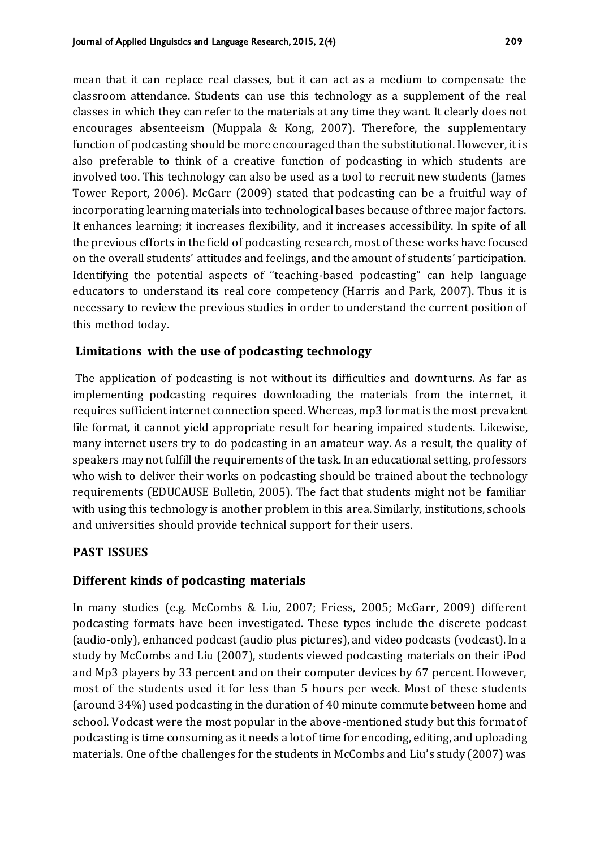mean that it can replace real classes, but it can act as a medium to compensate the classroom attendance. Students can use this technology as a supplement of the real classes in which they can refer to the materials at any time they want. It clearly does not encourages absenteeism (Muppala & Kong, 2007). Therefore, the supplementary function of podcasting should be more encouraged than the substitutional. However, it is also preferable to think of a creative function of podcasting in which students are involved too. This technology can also be used as a tool to recruit new students (James Tower Report, 2006). McGarr (2009) stated that podcasting can be a fruitful way of incorporating learning materials into technological bases because of three major factors. It enhances learning; it increases flexibility, and it increases accessibility. In spite of all the previous efforts in the field of podcasting research, most of these works have focused on the overall students' attitudes and feelings, and the amount of students' participation. Identifying the potential aspects of "teaching-based podcasting" can help language educators to understand its real core competency (Harris and Park, 2007). Thus it is necessary to review the previous studies in order to understand the current position of this method today.

### **Limitations with the use of podcasting technology**

The application of podcasting is not without its difficulties and downturns. As far as implementing podcasting requires downloading the materials from the internet, it requires sufficient internet connection speed. Whereas, mp3 format is the most prevalent file format, it cannot yield appropriate result for hearing impaired students. Likewise, many internet users try to do podcasting in an amateur way. As a result, the quality of speakers may not fulfill the requirements of the task. In an educational setting, professors who wish to deliver their works on podcasting should be trained about the technology requirements (EDUCAUSE Bulletin, 2005). The fact that students might not be familiar with using this technology is another problem in this area. Similarly, institutions, schools and universities should provide technical support for their users.

#### **PAST ISSUES**

#### **Different kinds of podcasting materials**

In many studies (e.g. McCombs & Liu, 2007; Friess, 2005; McGarr, 2009) different podcasting formats have been investigated. These types include the discrete podcast (audio-only), enhanced podcast (audio plus pictures), and video podcasts (vodcast). In a study by McCombs and Liu (2007), students viewed podcasting materials on their iPod and Mp3 players by 33 percent and on their computer devices by 67 percent. However, most of the students used it for less than 5 hours per week. Most of these students (around 34%) used podcasting in the duration of 40 minute commute between home and school. Vodcast were the most popular in the above-mentioned study but this format of podcasting is time consuming as it needs a lot of time for encoding, editing, and uploading materials. One of the challenges for the students in McCombs and Liu's study (2007) was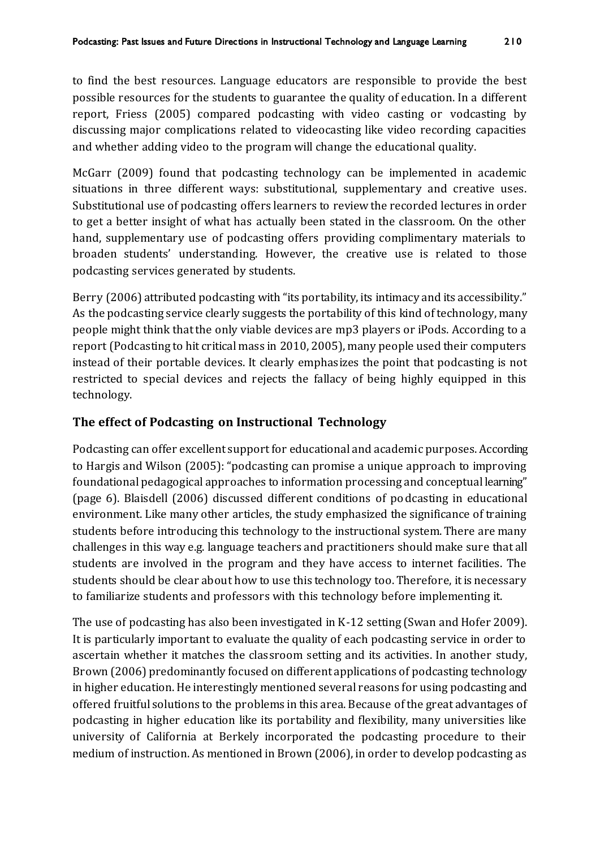to find the best resources. Language educators are responsible to provide the best possible resources for the students to guarantee the quality of education. In a different report, Friess (2005) compared podcasting with video casting or vodcasting by discussing major complications related to videocasting like video recording capacities and whether adding video to the program will change the educational quality.

McGarr (2009) found that podcasting technology can be implemented in academic situations in three different ways: substitutional, supplementary and creative uses. Substitutional use of podcasting offers learners to review the recorded lectures in order to get a better insight of what has actually been stated in the classroom. On the other hand, supplementary use of podcasting offers providing complimentary materials to broaden students' understanding. However, the creative use is related to those podcasting services generated by students.

Berry (2006) attributed podcasting with "its portability, its intimacy and its accessibility." As the podcasting service clearly suggests the portability of this kind of technology, many people might think that the only viable devices are mp3 players or iPods. According to a report (Podcasting to hit critical mass in 2010, 2005), many people used their computers instead of their portable devices. It clearly emphasizes the point that podcasting is not restricted to special devices and rejects the fallacy of being highly equipped in this technology.

## **The effect of Podcasting on Instructional Technology**

Podcasting can offer excellent support for educational and academic purposes. According to Hargis and Wilson (2005): "podcasting can promise a unique approach to improving foundational pedagogical approaches to information processing and conceptual learning" (page 6). Blaisdell (2006) discussed different conditions of podcasting in educational environment. Like many other articles, the study emphasized the significance of training students before introducing this technology to the instructional system. There are many challenges in this way e.g. language teachers and practitioners should make sure that all students are involved in the program and they have access to internet facilities. The students should be clear about how to use this technology too. Therefore, it is necessary to familiarize students and professors with this technology before implementing it.

The use of podcasting has also been investigated in K-12 setting (Swan and Hofer 2009). It is particularly important to evaluate the quality of each podcasting service in order to ascertain whether it matches the classroom setting and its activities. In another study, Brown (2006) predominantly focused on different applications of podcasting technology in higher education. He interestingly mentioned several reasons for using podcasting and offered fruitful solutions to the problems in this area. Because of the great advantages of podcasting in higher education like its portability and flexibility, many universities like university of California at Berkely incorporated the podcasting procedure to their medium of instruction. As mentioned in Brown (2006), in order to develop podcasting as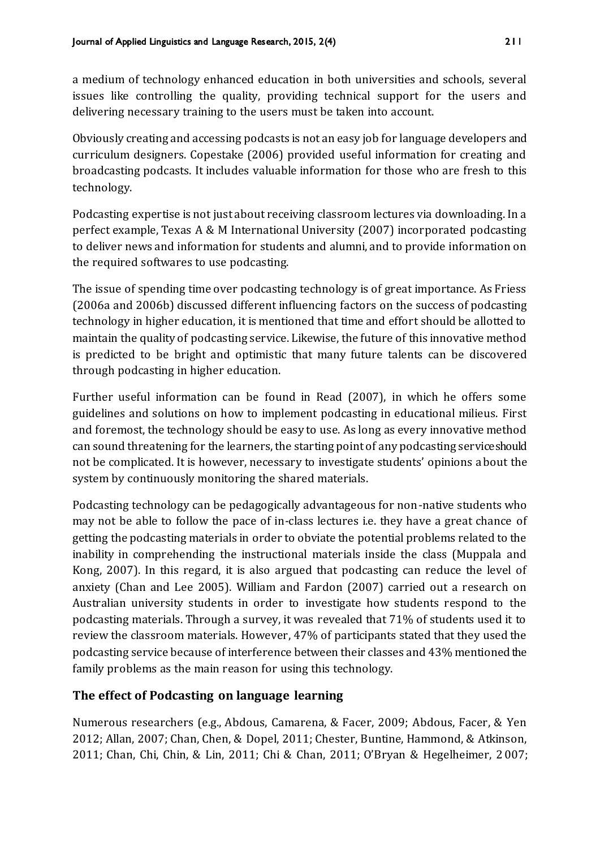a medium of technology enhanced education in both universities and schools, several issues like controlling the quality, providing technical support for the users and delivering necessary training to the users must be taken into account.

Obviously creating and accessing podcasts is not an easy job for language developers and curriculum designers. Copestake (2006) provided useful information for creating and broadcasting podcasts. It includes valuable information for those who are fresh to this technology.

Podcasting expertise is not just about receiving classroom lectures via downloading. In a perfect example, Texas A & M International University (2007) incorporated podcasting to deliver news and information for students and alumni, and to provide information on the required softwares to use podcasting.

The issue of spending time over podcasting technology is of great importance. As Friess (2006a and 2006b) discussed different influencing factors on the success of podcasting technology in higher education, it is mentioned that time and effort should be allotted to maintain the quality of podcasting service. Likewise, the future of this innovative method is predicted to be bright and optimistic that many future talents can be discovered through podcasting in higher education.

Further useful information can be found in Read (2007), in which he offers some guidelines and solutions on how to implement podcasting in educational milieus. First and foremost, the technology should be easy to use. As long as every innovative method can sound threatening for the learners, the starting point of any podcasting service should not be complicated. It is however, necessary to investigate students' opinions about the system by continuously monitoring the shared materials.

Podcasting technology can be pedagogically advantageous for non-native students who may not be able to follow the pace of in-class lectures i.e. they have a great chance of getting the podcasting materials in order to obviate the potential problems related to the inability in comprehending the instructional materials inside the class (Muppala and Kong, 2007). In this regard, it is also argued that podcasting can reduce the level of anxiety (Chan and Lee 2005). William and Fardon (2007) carried out a research on Australian university students in order to investigate how students respond to the podcasting materials. Through a survey, it was revealed that 71% of students used it to review the classroom materials. However, 47% of participants stated that they used the podcasting service because of interference between their classes and 43% mentioned the family problems as the main reason for using this technology.

#### **The effect of Podcasting on language learning**

Numerous researchers (e.g., Abdous, Camarena, & Facer, 2009; Abdous, Facer, & Yen 2012; Allan, 2007; Chan, Chen, & Dopel, 2011; Chester, Buntine, Hammond, & Atkinson, 2011; Chan, Chi, Chin, & Lin, 2011; Chi & Chan, 2011; O'Bryan & Hegelheimer, 2007;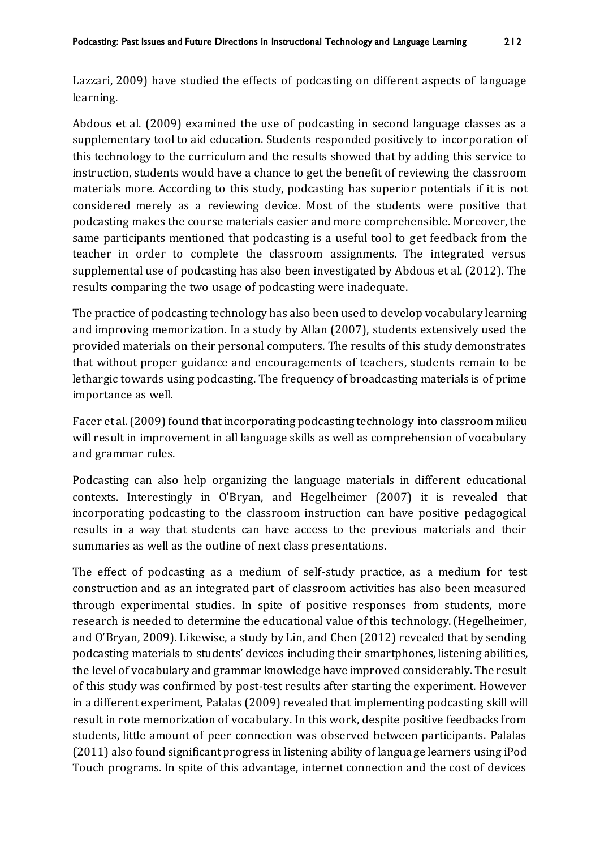Lazzari, 2009) have studied the effects of podcasting on different aspects of language learning.

Abdous et al. (2009) examined the use of podcasting in second language classes as a supplementary tool to aid education. Students responded positively to incorporation of this technology to the curriculum and the results showed that by adding this service to instruction, students would have a chance to get the benefit of reviewing the classroom materials more. According to this study, podcasting has superior potentials if it is not considered merely as a reviewing device. Most of the students were positive that podcasting makes the course materials easier and more comprehensible. Moreover, the same participants mentioned that podcasting is a useful tool to get feedback from the teacher in order to complete the classroom assignments. The integrated versus supplemental use of podcasting has also been investigated by Abdous et al. (2012). The results comparing the two usage of podcasting were inadequate.

The practice of podcasting technology has also been used to develop vocabulary learning and improving memorization. In a study by Allan (2007), students extensively used the provided materials on their personal computers. The results of this study demonstrates that without proper guidance and encouragements of teachers, students remain to be lethargic towards using podcasting. The frequency of broadcasting materials is of prime importance as well.

Facer et al. (2009) found that incorporating podcasting technology into classroom milieu will result in improvement in all language skills as well as comprehension of vocabulary and grammar rules.

Podcasting can also help organizing the language materials in different educational contexts. Interestingly in O'Bryan, and Hegelheimer (2007) it is revealed that incorporating podcasting to the classroom instruction can have positive pedagogical results in a way that students can have access to the previous materials and their summaries as well as the outline of next class presentations.

The effect of podcasting as a medium of self-study practice, as a medium for test construction and as an integrated part of classroom activities has also been measured through experimental studies. In spite of positive responses from students, more research is needed to determine the educational value of this technology. (Hegelheimer, and O'Bryan, 2009). Likewise, a study by Lin, and Chen (2012) revealed that by sending podcasting materials to students' devices including their smartphones, listening abilities, the level of vocabulary and grammar knowledge have improved considerably. The result of this study was confirmed by post-test results after starting the experiment. However in a different experiment, Palalas (2009) revealed that implementing podcasting skill will result in rote memorization of vocabulary. In this work, despite positive feedbacks from students, little amount of peer connection was observed between participants. Palalas (2011) also found significant progress in listening ability of language learners using iPod Touch programs. In spite of this advantage, internet connection and the cost of devices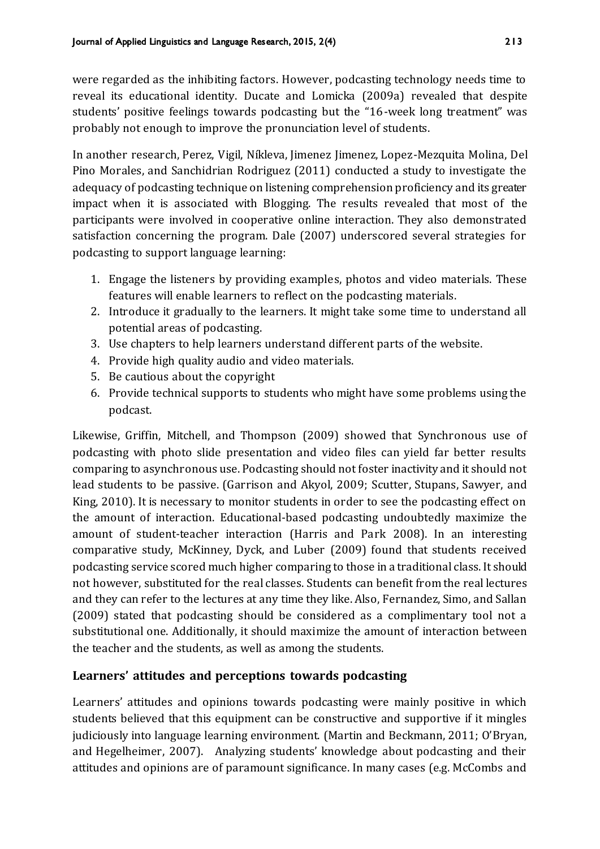were regarded as the inhibiting factors. However, podcasting technology needs time to reveal its educational identity. Ducate and Lomicka (2009a) revealed that despite students' positive feelings towards podcasting but the "16-week long treatment" was probably not enough to improve the pronunciation level of students.

In another research, Perez, Vigil, Níkleva, Jimenez Jimenez, Lopez-Mezquita Molina, Del Pino Morales, and Sanchidrian Rodriguez (2011) conducted a study to investigate the adequacy of podcasting technique on listening comprehension proficiency and its greater impact when it is associated with Blogging. The results revealed that most of the participants were involved in cooperative online interaction. They also demonstrated satisfaction concerning the program. Dale (2007) underscored several strategies for podcasting to support language learning:

- 1. Engage the listeners by providing examples, photos and video materials. These features will enable learners to reflect on the podcasting materials.
- 2. Introduce it gradually to the learners. It might take some time to understand all potential areas of podcasting.
- 3. Use chapters to help learners understand different parts of the website.
- 4. Provide high quality audio and video materials.
- 5. Be cautious about the copyright
- 6. Provide technical supports to students who might have some problems using the podcast.

Likewise, Griffin, Mitchell, and Thompson (2009) showed that Synchronous use of podcasting with photo slide presentation and video files can yield far better results comparing to asynchronous use. Podcasting should not foster inactivity and it should not lead students to be passive. (Garrison and Akyol, 2009; Scutter, Stupans, Sawyer, and King, 2010). It is necessary to monitor students in order to see the podcasting effect on the amount of interaction. Educational-based podcasting undoubtedly maximize the amount of student-teacher interaction (Harris and Park 2008). In an interesting comparative study, McKinney, Dyck, and Luber (2009) found that students received podcasting service scored much higher comparing to those in a traditional class. It should not however, substituted for the real classes. Students can benefit from the real lectures and they can refer to the lectures at any time they like. Also, Fernandez, Simo, and Sallan (2009) stated that podcasting should be considered as a complimentary tool not a substitutional one. Additionally, it should maximize the amount of interaction between the teacher and the students, as well as among the students.

#### **Learners' attitudes and perceptions towards podcasting**

Learners' attitudes and opinions towards podcasting were mainly positive in which students believed that this equipment can be constructive and supportive if it mingles judiciously into language learning environment. (Martin and Beckmann, 2011; O'Bryan, and Hegelheimer, 2007). Analyzing students' knowledge about podcasting and their attitudes and opinions are of paramount significance. In many cases (e.g. McCombs and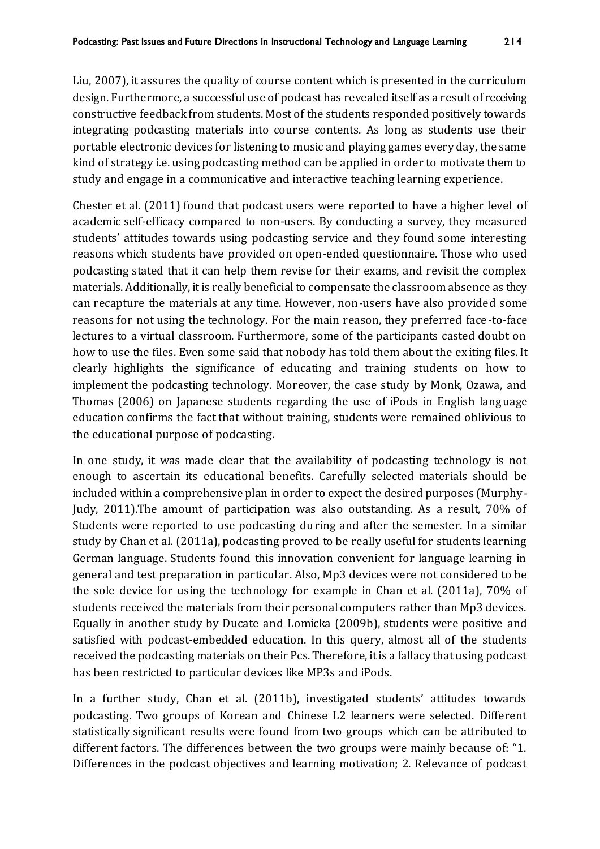Liu, 2007), it assures the quality of course content which is presented in the curriculum design. Furthermore, a successful use of podcast has revealed itself as a result of receiving constructive feedback from students. Most of the students responded positively towards integrating podcasting materials into course contents. As long as students use their portable electronic devices for listening to music and playing games every day, the same kind of strategy i.e. using podcasting method can be applied in order to motivate them to study and engage in a communicative and interactive teaching learning experience.

Chester et al. (2011) found that podcast users were reported to have a higher level of academic self-efficacy compared to non-users. By conducting a survey, they measured students' attitudes towards using podcasting service and they found some interesting reasons which students have provided on open-ended questionnaire. Those who used podcasting stated that it can help them revise for their exams, and revisit the complex materials. Additionally, it is really beneficial to compensate the classroom absence as they can recapture the materials at any time. However, non-users have also provided some reasons for not using the technology. For the main reason, they preferred face -to-face lectures to a virtual classroom. Furthermore, some of the participants casted doubt on how to use the files. Even some said that nobody has told them about the exiting files. It clearly highlights the significance of educating and training students on how to implement the podcasting technology. Moreover, the case study by Monk, Ozawa, and Thomas (2006) on Japanese students regarding the use of iPods in English language education confirms the fact that without training, students were remained oblivious to the educational purpose of podcasting.

In one study, it was made clear that the availability of podcasting technology is not enough to ascertain its educational benefits. Carefully selected materials should be included within a comprehensive plan in order to expect the desired purposes (Murphy-Judy, 2011).The amount of participation was also outstanding. As a result, 70% of Students were reported to use podcasting during and after the semester. In a similar study by Chan et al. (2011a), podcasting proved to be really useful for students learning German language. Students found this innovation convenient for language learning in general and test preparation in particular. Also, Mp3 devices were not considered to be the sole device for using the technology for example in Chan et al. (2011a), 70% of students received the materials from their personal computers rather than Mp3 devices. Equally in another study by Ducate and Lomicka (2009b), students were positive and satisfied with podcast-embedded education. In this query, almost all of the students received the podcasting materials on their Pcs. Therefore, it is a fallacy that using podcast has been restricted to particular devices like MP3s and iPods.

In a further study, Chan et al. (2011b), investigated students' attitudes towards podcasting. Two groups of Korean and Chinese L2 learners were selected. Different statistically significant results were found from two groups which can be attributed to different factors. The differences between the two groups were mainly because of: "1. Differences in the podcast objectives and learning motivation; 2. Relevance of podcast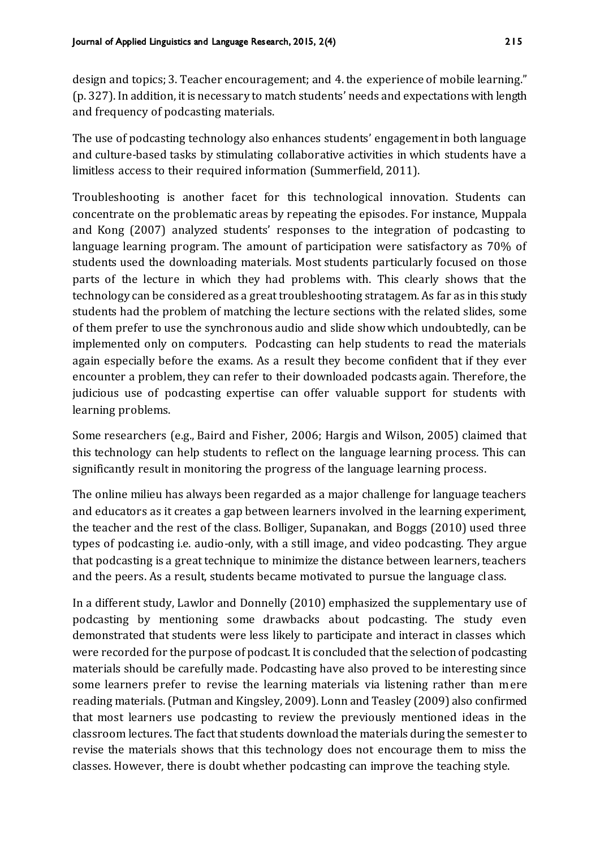design and topics; 3. Teacher encouragement; and 4. the experience of mobile learning." (p. 327). In addition, it is necessary to match students' needs and expectations with length and frequency of podcasting materials.

The use of podcasting technology also enhances students' engagement in both language and culture-based tasks by stimulating collaborative activities in which students have a limitless access to their required information (Summerfield, 2011).

Troubleshooting is another facet for this technological innovation. Students can concentrate on the problematic areas by repeating the episodes. For instance, Muppala and Kong (2007) analyzed students' responses to the integration of podcasting to language learning program. The amount of participation were satisfactory as 70% of students used the downloading materials. Most students particularly focused on those parts of the lecture in which they had problems with. This clearly shows that the technology can be considered as a great troubleshooting stratagem. As far as in this study students had the problem of matching the lecture sections with the related slides, some of them prefer to use the synchronous audio and slide show which undoubtedly, can be implemented only on computers. Podcasting can help students to read the materials again especially before the exams. As a result they become confident that if they ever encounter a problem, they can refer to their downloaded podcasts again. Therefore, the judicious use of podcasting expertise can offer valuable support for students with learning problems.

Some researchers (e.g., Baird and Fisher, 2006; Hargis and Wilson, 2005) claimed that this technology can help students to reflect on the language learning process. This can significantly result in monitoring the progress of the language learning process.

The online milieu has always been regarded as a major challenge for language teachers and educators as it creates a gap between learners involved in the learning experiment, the teacher and the rest of the class. Bolliger, Supanakan, and Boggs (2010) used three types of podcasting i.e. audio-only, with a still image, and video podcasting. They argue that podcasting is a great technique to minimize the distance between learners, teachers and the peers. As a result, students became motivated to pursue the language class.

In a different study, Lawlor and Donnelly (2010) emphasized the supplementary use of podcasting by mentioning some drawbacks about podcasting. The study even demonstrated that students were less likely to participate and interact in classes which were recorded for the purpose of podcast. It is concluded that the selection of podcasting materials should be carefully made. Podcasting have also proved to be interesting since some learners prefer to revise the learning materials via listening rather than mere reading materials. (Putman and Kingsley, 2009). Lonn and Teasley (2009) also confirmed that most learners use podcasting to review the previously mentioned ideas in the classroom lectures. The fact that students download the materials during the semester to revise the materials shows that this technology does not encourage them to miss the classes. However, there is doubt whether podcasting can improve the teaching style.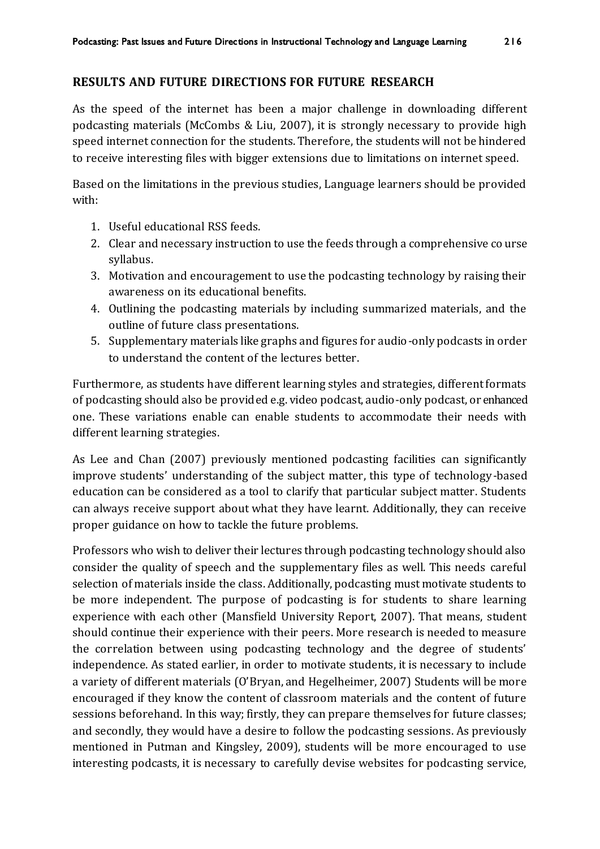#### **RESULTS AND FUTURE DIRECTIONS FOR FUTURE RESEARCH**

As the speed of the internet has been a major challenge in downloading different podcasting materials (McCombs & Liu, 2007), it is strongly necessary to provide high speed internet connection for the students. Therefore, the students will not be hindered to receive interesting files with bigger extensions due to limitations on internet speed.

Based on the limitations in the previous studies, Language learners should be provided with:

- 1. Useful educational RSS feeds.
- 2. Clear and necessary instruction to use the feeds through a comprehensive co urse syllabus.
- 3. Motivation and encouragement to use the podcasting technology by raising their awareness on its educational benefits.
- 4. Outlining the podcasting materials by including summarized materials, and the outline of future class presentations.
- 5. Supplementary materials like graphs and figures for audio-only podcasts in order to understand the content of the lectures better.

Furthermore, as students have different learning styles and strategies, different formats of podcasting should also be provided e.g. video podcast, audio-only podcast, or enhanced one. These variations enable can enable students to accommodate their needs with different learning strategies.

As Lee and Chan (2007) previously mentioned podcasting facilities can significantly improve students' understanding of the subject matter, this type of technology-based education can be considered as a tool to clarify that particular subject matter. Students can always receive support about what they have learnt. Additionally, they can receive proper guidance on how to tackle the future problems.

Professors who wish to deliver their lectures through podcasting technology should also consider the quality of speech and the supplementary files as well. This needs careful selection of materials inside the class. Additionally, podcasting must motivate students to be more independent. The purpose of podcasting is for students to share learning experience with each other (Mansfield University Report, 2007). That means, student should continue their experience with their peers. More research is needed to measure the correlation between using podcasting technology and the degree of students' independence. As stated earlier, in order to motivate students, it is necessary to include a variety of different materials (O'Bryan, and Hegelheimer, 2007) Students will be more encouraged if they know the content of classroom materials and the content of future sessions beforehand. In this way; firstly, they can prepare themselves for future classes; and secondly, they would have a desire to follow the podcasting sessions. As previously mentioned in Putman and Kingsley, 2009), students will be more encouraged to use interesting podcasts, it is necessary to carefully devise websites for podcasting service,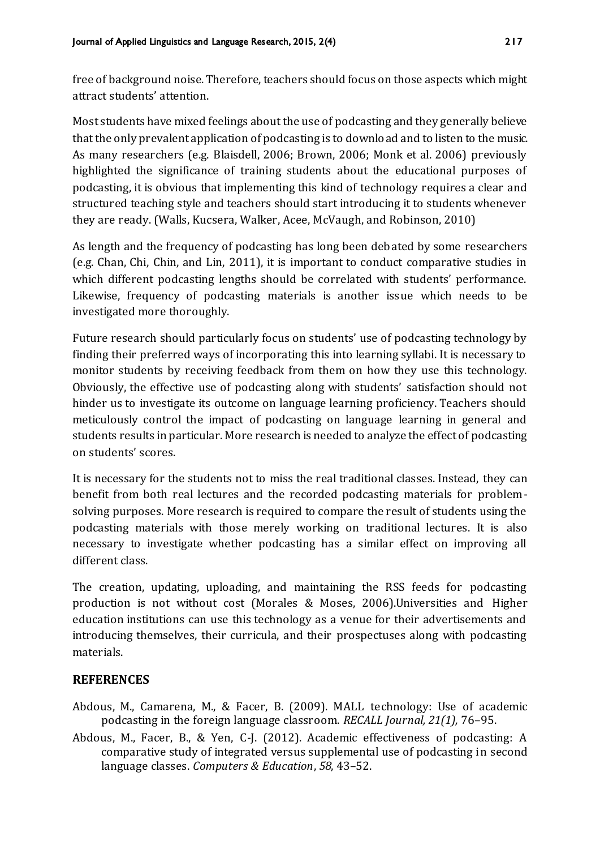free of background noise. Therefore, teachers should focus on those aspects which might attract students' attention.

Most students have mixed feelings about the use of podcasting and they generally believe that the only prevalent application of podcasting is to download and to listen to the music. As many researchers (e.g. Blaisdell, 2006; Brown, 2006; Monk et al. 2006) previously highlighted the significance of training students about the educational purposes of podcasting, it is obvious that implementing this kind of technology requires a clear and structured teaching style and teachers should start introducing it to students whenever they are ready. (Walls, Kucsera, Walker, Acee, McVaugh, and Robinson, 2010)

As length and the frequency of podcasting has long been debated by some researchers (e.g. Chan, Chi, Chin, and Lin, 2011), it is important to conduct comparative studies in which different podcasting lengths should be correlated with students' performance. Likewise, frequency of podcasting materials is another issue which needs to be investigated more thoroughly.

Future research should particularly focus on students' use of podcasting technology by finding their preferred ways of incorporating this into learning syllabi. It is necessary to monitor students by receiving feedback from them on how they use this technology. Obviously, the effective use of podcasting along with students' satisfaction should not hinder us to investigate its outcome on language learning proficiency. Teachers should meticulously control the impact of podcasting on language learning in general and students results in particular. More research is needed to analyze the effect of podcasting on students' scores.

It is necessary for the students not to miss the real traditional classes. Instead, they can benefit from both real lectures and the recorded podcasting materials for problemsolving purposes. More research is required to compare the result of students using the podcasting materials with those merely working on traditional lectures. It is also necessary to investigate whether podcasting has a similar effect on improving all different class.

The creation, updating, uploading, and maintaining the RSS feeds for podcasting production is not without cost (Morales & Moses, 2006).Universities and Higher education institutions can use this technology as a venue for their advertisements and introducing themselves, their curricula, and their prospectuses along with podcasting materials.

#### **REFERENCES**

- Abdous, M., Camarena, M., & Facer, B. (2009). MALL technology: Use of academic podcasting in the foreign language classroom. *RECALL Journal, 21(1),* 76–95.
- Abdous, M., Facer, B., & Yen, C-J. (2012). Academic effectiveness of podcasting: A comparative study of integrated versus supplemental use of podcasting in second language classes. *Computers & Education*, *58*, 43–52.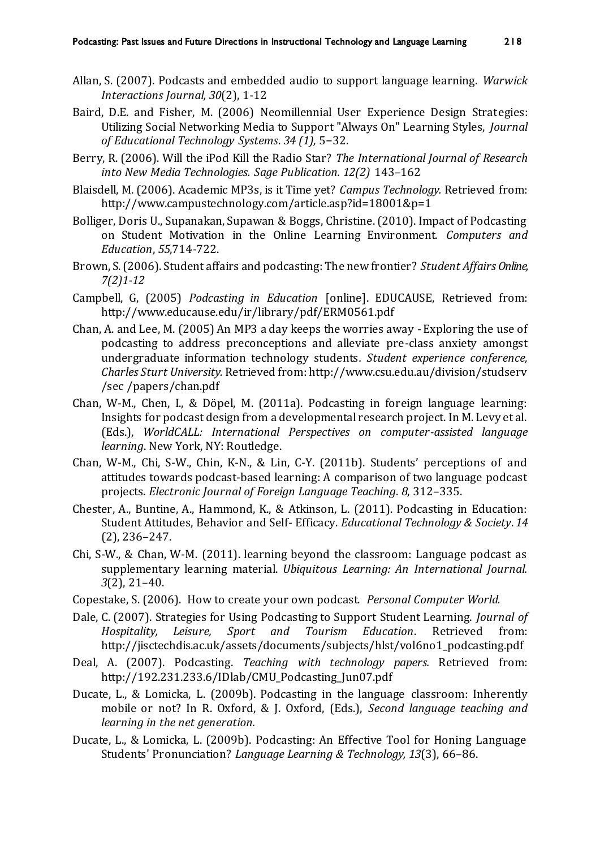- Allan, S. (2007). Podcasts and embedded audio to support language learning. *Warwick Interactions Journal, 30*(2), 1-12
- Baird, D.E. and Fisher, M. (2006) Neomillennial User Experience Design Strategies: Utilizing Social Networking Media to Support "Always On" Learning Styles, *Journal of Educational Technology Systems*. *34 (1),* 5−32.
- Berry, R. (2006). Will the iPod Kill the Radio Star? *The International Journal of Research into New Media Technologies. Sage Publication. 12(2)* 143–162
- Blaisdell, M. (2006). Academic MP3s, is it Time yet? *Campus Technology.* Retrieved from: <http://www.campustechnology.com/article.asp?id=18001&p=1>
- Bolliger, Doris U., Supanakan, Supawan & Boggs, Christine. (2010). Impact of Podcasting on Student Motivation in the Online Learning Environment. *Computers and Education*, *55*,714-722.
- Brown, S. (2006). Student affairs and podcasting: The new frontier? *Student Affairs Online, 7(2)1-12*
- Campbell, G, (2005) *Podcasting in Education* [online]. EDUCAUSE, Retrieved from: <http://www.educause.edu/ir/library/pdf/ERM0561.pdf>
- Chan, A. and Lee, M. (2005) An MP3 a day keeps the worries away Exploring the use of podcasting to address preconceptions and alleviate pre-class anxiety amongst undergraduate information technology students*. Student experience conference, Charles Sturt University.* Retrieved from[: http://www.csu.edu.au/division/studserv](http://www.csu.edu.au/division/studserv%20/sec%20/papers/chan.pdf)  [/sec /papers/chan.pdf](http://www.csu.edu.au/division/studserv%20/sec%20/papers/chan.pdf)
- Chan, W-M., Chen, I., & Döpel, M. (2011a). Podcasting in foreign language learning: Insights for podcast design from a developmental research project. In M. Levy et al. (Eds.), *WorldCALL: International Perspectives on computer-assisted language learning*. New York, NY: Routledge.
- Chan, W-M., Chi, S-W., Chin, K-N., & Lin, C-Y. (2011b). Students' perceptions of and attitudes towards podcast-based learning: A comparison of two language podcast projects. *Electronic Journal of Foreign Language Teaching*. *8*, 312–335.
- Chester, A., Buntine, A., Hammond, K., & Atkinson, L. (2011). Podcasting in Education: Student Attitudes, Behavior and Self- Efficacy. *Educational Technology & Society*. *14*  (2), 236–247.
- Chi, S-W., & Chan, W-M. (2011). learning beyond the classroom: Language podcast as supplementary learning material. *Ubiquitous Learning: An International Journal. 3*(2), 21–40.
- Copestake, S. (2006). How to create your own podcast. *Personal Computer World.*
- Dale, C. (2007). Strategies for Using Podcasting to Support Student Learning. *Journal of Hospitality, Leisure, Sport and Tourism Education*. Retrieved from: [http://jisctechdis.ac.uk/assets/documents/subjects/hlst/vol6no1\\_podcasting.pdf](http://jisctechdis.ac.uk/assets/documents/subjects/hlst/vol6no1_podcasting.pdf)
- Deal, A. (2007). Podcasting. *Teaching with technology papers.* Retrieved from: [http://192.231.233.6/IDlab/CMU\\_Podcasting\\_Jun07.pdf](http://192.231.233.6/IDlab/CMU_Podcasting_Jun07.pdf)
- Ducate, L., & Lomicka, L. (2009b). Podcasting in the language classroom: Inherently mobile or not? In R. Oxford, & J. Oxford, (Eds.), *Second language teaching and learning in the net generation.*
- Ducate, L., & Lomicka, L. (2009b). Podcasting: An Effective Tool for Honing Language Students' Pronunciation? *Language Learning & Technology, 13*(3), 66–86.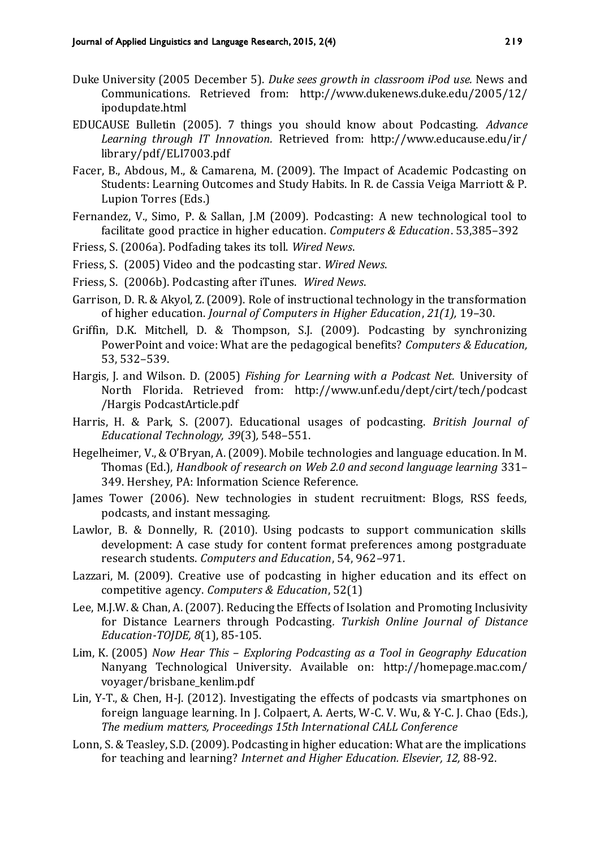- Duke University (2005 December 5). *Duke sees growth in classroom iPod use.* News and Communications. Retrieved from: [http://www.dukenews.duke.edu/2005/12/](http://www.dukenews.duke.edu/2005/12/%20ipodupdate.html)  [ipodupdate.html](http://www.dukenews.duke.edu/2005/12/%20ipodupdate.html)
- EDUCAUSE Bulletin (2005). 7 things you should know about Podcasting. *Advance Learning through IT Innovation.* Retrieved from: [http://www.educause.edu/ir/](http://www.educause.edu/ir/%20library/pdf/ELI7003.pdf)  [library/pdf/ELI7003.pdf](http://www.educause.edu/ir/%20library/pdf/ELI7003.pdf)
- Facer, B., Abdous, M., & Camarena, M. (2009). The Impact of Academic Podcasting on Students: Learning Outcomes and Study Habits. In R. de Cassia Veiga Marriott & P. Lupion Torres (Eds.)
- Fernandez, V., Simo, P. & Sallan, J.M (2009). Podcasting: A new technological tool to facilitate good practice in higher education*. Computers & Education*. 53,385–392
- Friess, S. (2006a). Podfading takes its toll. *Wired News*.
- Friess, S. (2005) Video and the podcasting star. *Wired News*.
- Friess, S. (2006b). Podcasting after iTunes. *Wired News*.
- Garrison, D. R. & Akyol, Z. (2009). Role of instructional technology in the transformation of higher education. *Journal of Computers in Higher Education*, *21(1),* 19–30.
- Griffin, D.K. Mitchell, D. & Thompson, S.J. (2009). Podcasting by synchronizing PowerPoint and voice: What are the pedagogical benefits? *Computers & Education,*  53, 532–539.
- Hargis, J. and Wilson. D. (2005) *Fishing for Learning with a Podcast Net.* University of North Florida. Retrieved from: [http://www.unf.edu/dept/cirt/tech/podcast](http://www.unf.edu/dept/cirt/tech/podcast%20/Hargis%20PodcastArticle.pdf)  [/Hargis PodcastArticle.pdf](http://www.unf.edu/dept/cirt/tech/podcast%20/Hargis%20PodcastArticle.pdf)
- Harris, H. & Park, S. (2007). Educational usages of podcasting. *British Journal of Educational Technology, 39*(3)*,* 548–551.
- Hegelheimer, V., & O'Bryan, A. (2009). Mobile technologies and language education. In M. Thomas (Ed.), *Handbook of research on Web 2.0 and second language learning* 331– 349. Hershey, PA: Information Science Reference.
- James Tower (2006). New technologies in student recruitment: Blogs, RSS feeds, podcasts, and instant messaging.
- Lawlor, B. & Donnelly, R. (2010). Using podcasts to support communication skills development: A case study for content format preferences among postgraduate research students. *Computers and Education*, 54, 962–971.
- Lazzari, M. (2009). Creative use of podcasting in higher education and its effect on competitive agency. *Computers & Education*, 52(1)
- Lee, M.J.W. & Chan, A. (2007). Reducing the Effects of Isolation and Promoting Inclusivity for Distance Learners through Podcasting*. Turkish Online Journal of Distance Education-TOJDE, 8*(1), 85-105.
- Lim, K. (2005) *Now Hear This – Exploring Podcasting as a Tool in Geography Education*  Nanyang Technological University. Available on: [http://homepage.mac.com/](http://homepage.mac.com/%20voyager/brisbane_kenlim.pdf)  [voyager/brisbane\\_kenlim.pdf](http://homepage.mac.com/%20voyager/brisbane_kenlim.pdf)
- Lin, Y-T., & Chen, H-J. (2012). Investigating the effects of podcasts via smartphones on foreign language learning. In J. Colpaert, A. Aerts, W-C. V. Wu, & Y-C. J. Chao (Eds.), *The medium matters, Proceedings 15th International CALL Conference*
- Lonn, S. & Teasley, S.D. (2009). Podcasting in higher education: What are the implications for teaching and learning? *Internet and Higher Education. Elsevier, 12,* 88-92.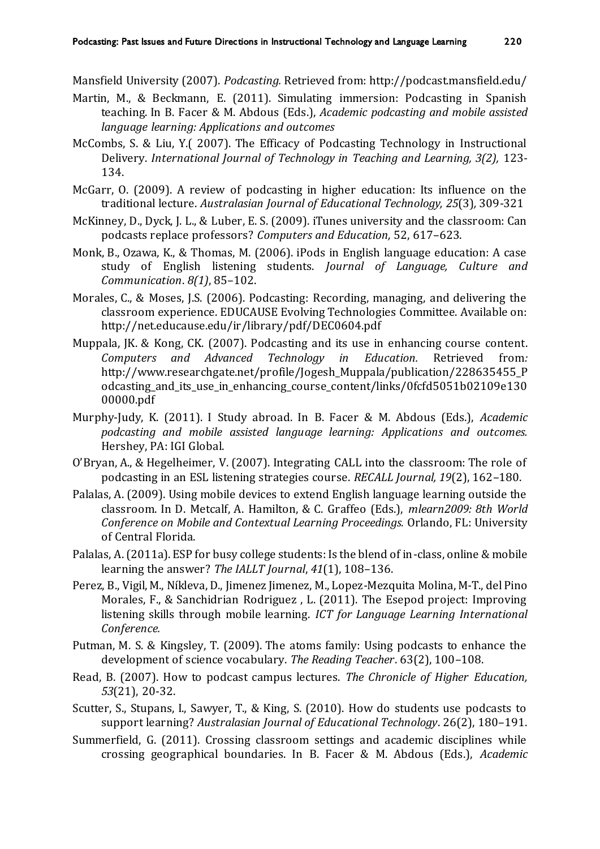Mansfield University (2007). *Podcasting.* Retrieved from[: http://podcast.mansfield.edu/](http://podcast.mansfield.edu/)

- Martin, M., & Beckmann, E. (2011). Simulating immersion: Podcasting in Spanish teaching. In B. Facer & M. Abdous (Eds.), *Academic podcasting and mobile assisted language learning: Applications and outcomes*
- McCombs, S. & Liu, Y.( 2007). The Efficacy of Podcasting Technology in Instructional Delivery. *International Journal of Technology in Teaching and Learning, 3(2),* 123- 134.
- McGarr, O. (2009). A review of podcasting in higher education: Its influence on the traditional lecture. *Australasian Journal of Educational Technology, 25*(3)*,* 309-321
- McKinney, D., Dyck, J. L., & Luber, E. S. (2009). iTunes university and the classroom: Can podcasts replace professors? *Computers and Education,* 52, 617–623.
- Monk, B., Ozawa, K., & Thomas, M. (2006). iPods in English language education: A case study of English listening students. *Journal of Language, Culture and Communication*. *8(1)*, 85–102.
- Morales, C., & Moses, J.S. (2006). Podcasting: Recording, managing, and delivering the classroom experience. EDUCAUSE Evolving Technologies Committee. Available on: <http://net.educause.edu/ir/library/pdf/DEC0604.pdf>
- Muppala, JK. & Kong, CK. (2007). [Podcasting and its use in enhancing course content.](http://www.actapress.com/PaperInfo.aspx?PaperID=31940&reason=500) *Computers and Advanced Technology in Education.* Retrieved from*:*  [http://www.researchgate.net/profile/Jogesh\\_Muppala/publication/228635455\\_P](http://www.researchgate.net/profile/Jogesh_Muppala/publication/228635455_Podcasting_and_its_use_in_enhancing_course_content/links/0fcfd5051b02109e13000000.pdf) [odcasting\\_and\\_its\\_use\\_in\\_enhancing\\_course\\_content/links/0fcfd5051b02109e130](http://www.researchgate.net/profile/Jogesh_Muppala/publication/228635455_Podcasting_and_its_use_in_enhancing_course_content/links/0fcfd5051b02109e13000000.pdf) [00000.pdf](http://www.researchgate.net/profile/Jogesh_Muppala/publication/228635455_Podcasting_and_its_use_in_enhancing_course_content/links/0fcfd5051b02109e13000000.pdf)
- Murphy-Judy, K. (2011). I Study abroad. In B. Facer & M. Abdous (Eds.), *Academic podcasting and mobile assisted language learning: Applications and outcomes.*  Hershey, PA: IGI Global.
- O'Bryan, A., & Hegelheimer, V. (2007). Integrating CALL into the classroom: The role of podcasting in an ESL listening strategies course. *RECALL Journal, 19*(2), 162–180.
- Palalas, A. (2009). Using mobile devices to extend English language learning outside the classroom. In D. Metcalf, A. Hamilton, & C. Graffeo (Eds.), *mlearn2009: 8th World Conference on Mobile and Contextual Learning Proceedings.* Orlando, FL: University of Central Florida.
- Palalas, A. (2011a). ESP for busy college students: Is the blend of in-class, online & mobile learning the answer? *The IALLT Journal*, *41*(1), 108–136.
- Perez, B., Vigil, M., Níkleva, D., Jimenez Jimenez, M., Lopez-Mezquita Molina, M-T., del Pino Morales, F., & Sanchidrian Rodriguez , L. (2011). The Esepod project: Improving listening skills through mobile learning. *ICT for Language Learning International Conference.*
- Putman, M. S. & Kingsley, T. (2009). The atoms family: Using podcasts to enhance the development of science vocabulary. *The Reading Teacher*. 63(2), 100–108.
- Read, B. (2007). How to podcast campus lectures. *The Chronicle of Higher Education, 53*(21), 20-32.
- Scutter, S., Stupans, I., Sawyer, T., & King, S. (2010). How do students use podcasts to support learning? *Australasian Journal of Educational Technology*. 26(2), 180–191.
- Summerfield, G. (2011). Crossing classroom settings and academic disciplines while crossing geographical boundaries. In B. Facer & M. Abdous (Eds.), *Academic*